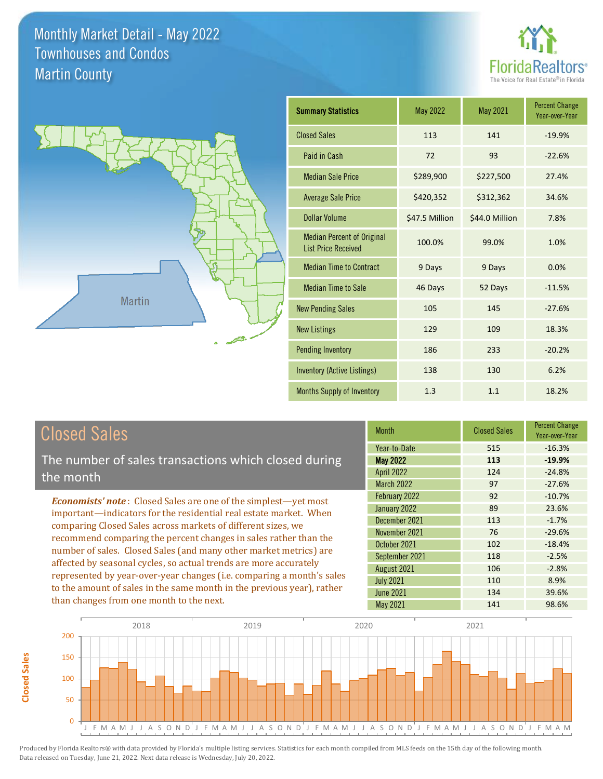



| <b>Summary Statistics</b>                                       | May 2022       | May 2021       | <b>Percent Change</b><br>Year-over-Year |
|-----------------------------------------------------------------|----------------|----------------|-----------------------------------------|
| <b>Closed Sales</b>                                             | 113            | 141            | $-19.9%$                                |
| Paid in Cash                                                    | 72             | 93             | $-22.6%$                                |
| <b>Median Sale Price</b>                                        | \$289,900      | \$227,500      | 27.4%                                   |
| <b>Average Sale Price</b>                                       | \$420,352      | \$312,362      | 34.6%                                   |
| Dollar Volume                                                   | \$47.5 Million | \$44.0 Million | 7.8%                                    |
| <b>Median Percent of Original</b><br><b>List Price Received</b> | 100.0%         | 99.0%          | 1.0%                                    |
| <b>Median Time to Contract</b>                                  | 9 Days         | 9 Days         | 0.0%                                    |
| <b>Median Time to Sale</b>                                      | 46 Days        | 52 Days        | $-11.5%$                                |
| <b>New Pending Sales</b>                                        | 105            | 145            | $-27.6%$                                |
| <b>New Listings</b>                                             | 129            | 109            | 18.3%                                   |
| <b>Pending Inventory</b>                                        | 186            | 233            | $-20.2%$                                |
| <b>Inventory (Active Listings)</b>                              | 138            | 130            | 6.2%                                    |
| Months Supply of Inventory                                      | 1.3            | 1.1            | 18.2%                                   |

The number of sales transactions which closed during the month

*Economists' note* : Closed Sales are one of the simplest—yet most important—indicators for the residential real estate market. When comparing Closed Sales across markets of different sizes, we recommend comparing the percent changes in sales rather than the number of sales. Closed Sales (and many other market metrics) are affected by seasonal cycles, so actual trends are more accurately represented by year-over-year changes (i.e. comparing a month's sales to the amount of sales in the same month in the previous year), rather than changes from one month to the next.

| <b>Month</b>      | <b>Closed Sales</b> | <b>Percent Change</b><br>Year-over-Year |  |
|-------------------|---------------------|-----------------------------------------|--|
| Year-to-Date      | 515                 | $-16.3%$                                |  |
| <b>May 2022</b>   | 113                 | $-19.9%$                                |  |
| <b>April 2022</b> | 124                 | $-24.8%$                                |  |
| <b>March 2022</b> | 97                  | $-27.6%$                                |  |
| February 2022     | 92                  | $-10.7%$                                |  |
| January 2022      | 89                  | 23.6%                                   |  |
| December 2021     | 113                 | $-1.7%$                                 |  |
| November 2021     | 76                  | $-29.6%$                                |  |
| October 2021      | 102                 | $-18.4%$                                |  |
| September 2021    | 118                 | $-2.5%$                                 |  |
| August 2021       | 106                 | $-2.8%$                                 |  |
| <b>July 2021</b>  | 110                 | 8.9%                                    |  |
| <b>June 2021</b>  | 134                 | 39.6%                                   |  |
| <b>May 2021</b>   | 141                 | 98.6%                                   |  |

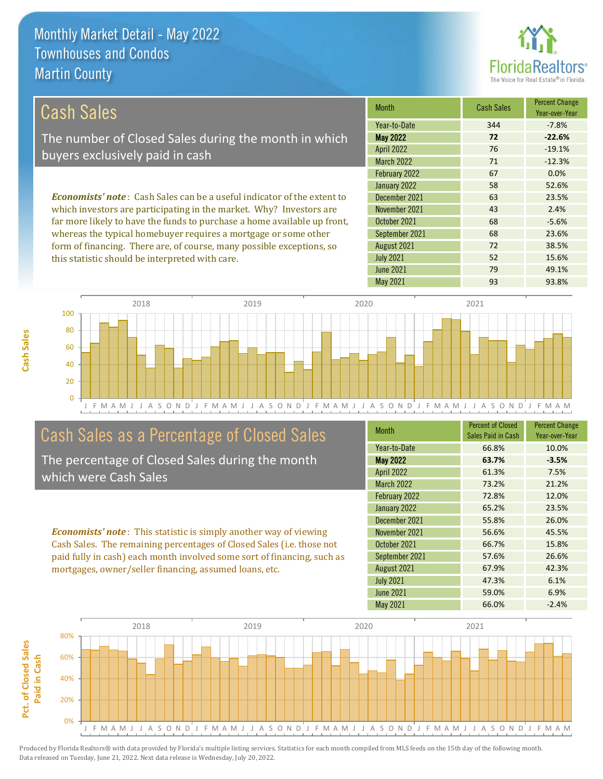

72 38.5%

52 15.6%

| Cash Sales                                                                     | <b>Month</b>      | <b>Cash Sales</b> | <b>Percent Change</b><br>Year-over-Year |
|--------------------------------------------------------------------------------|-------------------|-------------------|-----------------------------------------|
|                                                                                | Year-to-Date      | 344               | $-7.8%$                                 |
| The number of Closed Sales during the month in which                           | <b>May 2022</b>   | 72                | $-22.6%$                                |
| buyers exclusively paid in cash                                                | <b>April 2022</b> | 76                | $-19.1%$                                |
|                                                                                | <b>March 2022</b> | 71                | $-12.3%$                                |
|                                                                                | February 2022     | 67                | 0.0%                                    |
|                                                                                | January 2022      | 58                | 52.6%                                   |
| <b>Economists' note:</b> Cash Sales can be a useful indicator of the extent to | December 2021     | 63                | 23.5%                                   |
| which investors are participating in the market. Why? Investors are            | November 2021     | 43                | 2.4%                                    |
| far more likely to have the funds to purchase a home available up front,       | October 2021      | 68                | $-5.6%$                                 |
| whereas the typical homebuyer requires a mortgage or some other                | September 2021    | 68                | 23.6%                                   |

J F M A M J J A S O N D J F M A M J J A S O N D J F M A M J J A S O N D J F M A M J J A S O N D J F M A M 0 20 40 60 80 100 2018 2019 2020 2021

## Cash Sales as a Percentage of Closed Sales

form of financing. There are, of course, many possible exceptions, so

this statistic should be interpreted with care.

The percentage of Closed Sales during the month which were Cash Sales

*Economists' note* : This statistic is simply another way of viewing Cash Sales. The remaining percentages of Closed Sales (i.e. those not paid fully in cash) each month involved some sort of financing, such as mortgages, owner/seller financing, assumed loans, etc.

| <b>Month</b>      | <b>Percent of Closed</b><br>Sales Paid in Cash | <b>Percent Change</b><br>Year-over-Year |
|-------------------|------------------------------------------------|-----------------------------------------|
| Year-to-Date      | 66.8%                                          | 10.0%                                   |
| <b>May 2022</b>   | 63.7%                                          | $-3.5%$                                 |
| <b>April 2022</b> | 61.3%                                          | 7.5%                                    |
| <b>March 2022</b> | 73.2%                                          | 21.2%                                   |
| February 2022     | 72.8%                                          | 12.0%                                   |
| January 2022      | 65.2%                                          | 23.5%                                   |
| December 2021     | 55.8%                                          | 26.0%                                   |
| November 2021     | 56.6%                                          | 45.5%                                   |
| October 2021      | 66.7%                                          | 15.8%                                   |
| September 2021    | 57.6%                                          | 26.6%                                   |
| August 2021       | 67.9%                                          | 42.3%                                   |
| <b>July 2021</b>  | 47.3%                                          | 6.1%                                    |
| June 2021         | 59.0%                                          | 6.9%                                    |
| May 2021          | 66.0%                                          | $-2.4%$                                 |

May 2021 93 93.8%

June 2021 **79** 49.1%

July 2021

August 2021



**Cash Sales**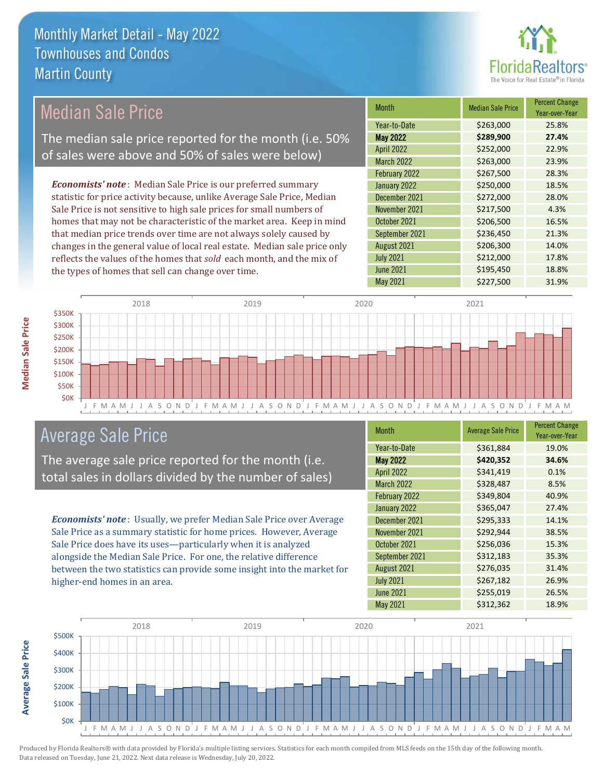

# Median Sale Price

The median sale price reported for the month (i.e. 50% of sales were above and 50% of sales were below)

*Economists' note* : Median Sale Price is our preferred summary statistic for price activity because, unlike Average Sale Price, Median Sale Price is not sensitive to high sale prices for small numbers of homes that may not be characteristic of the market area. Keep in mind that median price trends over time are not always solely caused by changes in the general value of local real estate. Median sale price only reflects the values of the homes that *sold* each month, and the mix of the types of homes that sell can change over time.

| <b>Month</b>      | <b>Median Sale Price</b> | <b>Percent Change</b><br>Year-over-Year |
|-------------------|--------------------------|-----------------------------------------|
| Year-to-Date      | \$263,000                | 25.8%                                   |
| <b>May 2022</b>   | \$289,900                | 27.4%                                   |
| <b>April 2022</b> | \$252,000                | 22.9%                                   |
| <b>March 2022</b> | \$263,000                | 23.9%                                   |
| February 2022     | \$267,500                | 28.3%                                   |
| January 2022      | \$250,000                | 18.5%                                   |
| December 2021     | \$272,000                | 28.0%                                   |
| November 2021     | \$217,500                | 4.3%                                    |
| October 2021      | \$206,500                | 16.5%                                   |
| September 2021    | \$236,450                | 21.3%                                   |
| August 2021       | \$206,300                | 14.0%                                   |
| <b>July 2021</b>  | \$212,000                | 17.8%                                   |
| <b>June 2021</b>  | \$195,450                | 18.8%                                   |
| <b>May 2021</b>   | \$227,500                | 31.9%                                   |



### Average Sale Price

The average sale price reported for the month (i.e. total sales in dollars divided by the number of sales)

*Economists' note* : Usually, we prefer Median Sale Price over Average Sale Price as a summary statistic for home prices. However, Average Sale Price does have its uses—particularly when it is analyzed alongside the Median Sale Price. For one, the relative difference between the two statistics can provide some insight into the market for higher-end homes in an area.

| <b>Month</b>      | <b>Average Sale Price</b> | <b>Percent Change</b><br>Year-over-Year |
|-------------------|---------------------------|-----------------------------------------|
| Year-to-Date      | \$361,884                 | 19.0%                                   |
| <b>May 2022</b>   | \$420,352                 | 34.6%                                   |
| <b>April 2022</b> | \$341,419                 | 0.1%                                    |
| <b>March 2022</b> | \$328,487                 | 8.5%                                    |
| February 2022     | \$349,804                 | 40.9%                                   |
| January 2022      | \$365,047                 | 27.4%                                   |
| December 2021     | \$295,333                 | 14.1%                                   |
| November 2021     | \$292,944                 | 38.5%                                   |
| October 2021      | \$256,036                 | 15.3%                                   |
| September 2021    | \$312,183                 | 35.3%                                   |
| August 2021       | \$276,035                 | 31.4%                                   |
| <b>July 2021</b>  | \$267,182                 | 26.9%                                   |
| <b>June 2021</b>  | \$255,019                 | 26.5%                                   |
| May 2021          | \$312,362                 | 18.9%                                   |

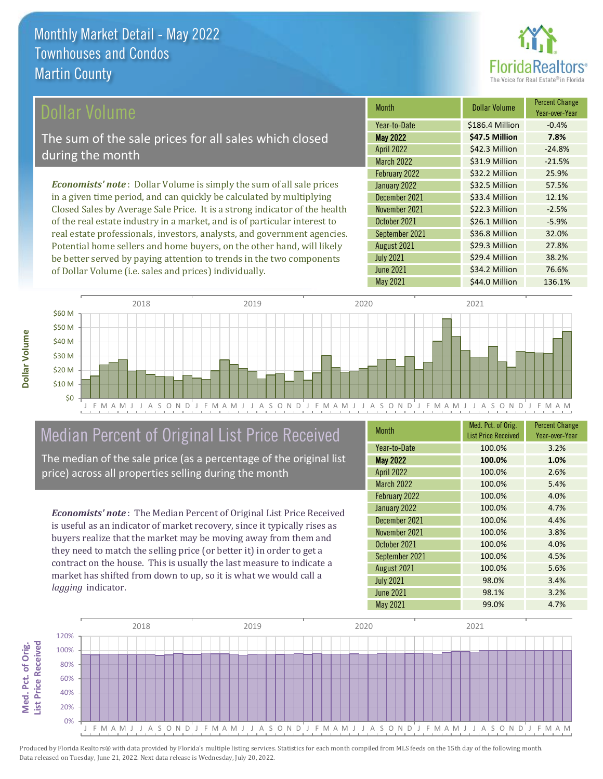

### ollar Volume

The sum of the sale prices for all sales which closed during the month

*Economists' note* : Dollar Volume is simply the sum of all sale prices in a given time period, and can quickly be calculated by multiplying Closed Sales by Average Sale Price. It is a strong indicator of the health of the real estate industry in a market, and is of particular interest to real estate professionals, investors, analysts, and government agencies. Potential home sellers and home buyers, on the other hand, will likely be better served by paying attention to trends in the two components of Dollar Volume (i.e. sales and prices) individually.

| <b>Month</b>      | Dollar Volume   | <b>Percent Change</b><br>Year-over-Year |
|-------------------|-----------------|-----------------------------------------|
| Year-to-Date      | \$186.4 Million | $-0.4%$                                 |
| <b>May 2022</b>   | \$47.5 Million  | 7.8%                                    |
| <b>April 2022</b> | \$42.3 Million  | $-24.8%$                                |
| <b>March 2022</b> | \$31.9 Million  | $-21.5%$                                |
| February 2022     | \$32.2 Million  | 25.9%                                   |
| January 2022      | \$32.5 Million  | 57.5%                                   |
| December 2021     | \$33.4 Million  | 12.1%                                   |
| November 2021     | \$22.3 Million  | $-2.5%$                                 |
| October 2021      | \$26.1 Million  | $-5.9%$                                 |
| September 2021    | \$36.8 Million  | 32.0%                                   |
| August 2021       | \$29.3 Million  | 27.8%                                   |
| <b>July 2021</b>  | \$29.4 Million  | 38.2%                                   |
| <b>June 2021</b>  | \$34.2 Million  | 76.6%                                   |
| May 2021          | \$44.0 Million  | 136.1%                                  |



May 2021 **544.0 Million 136.1%** 

J F M A M J J A S O N D J F M A M J J A S O N D J F M A M J J A S O N D J F M A M J J A S O N D J F M A M

## Median Percent of Original List Price Received

The median of the sale price (as a percentage of the original list price) across all properties selling during the month

*Economists' note* : The Median Percent of Original List Price Received is useful as an indicator of market recovery, since it typically rises as buyers realize that the market may be moving away from them and they need to match the selling price (or better it) in order to get a contract on the house. This is usually the last measure to indicate a market has shifted from down to up, so it is what we would call a *lagging* indicator.

| <b>Month</b>      | Med. Pct. of Orig.<br><b>List Price Received</b> | <b>Percent Change</b><br>Year-over-Year |
|-------------------|--------------------------------------------------|-----------------------------------------|
| Year-to-Date      | 100.0%                                           | 3.2%                                    |
| <b>May 2022</b>   | 100.0%                                           | 1.0%                                    |
| <b>April 2022</b> | 100.0%                                           | 2.6%                                    |
| <b>March 2022</b> | 100.0%                                           | 5.4%                                    |
| February 2022     | 100.0%                                           | 4.0%                                    |
| January 2022      | 100.0%                                           | 4.7%                                    |
| December 2021     | 100.0%                                           | 4.4%                                    |
| November 2021     | 100.0%                                           | 3.8%                                    |
| October 2021      | 100.0%                                           | 4.0%                                    |
| September 2021    | 100.0%                                           | 4.5%                                    |
| August 2021       | 100.0%                                           | 5.6%                                    |
| <b>July 2021</b>  | 98.0%                                            | 3.4%                                    |
| <b>June 2021</b>  | 98.1%                                            | 3.2%                                    |
| May 2021          | 99.0%                                            | 4.7%                                    |



Produced by Florida Realtors® with data provided by Florida's multiple listing services. Statistics for each month compiled from MLS feeds on the 15th day of the following month. Data released on Tuesday, June 21, 2022. Next data release is Wednesday, July 20, 2022.

\$0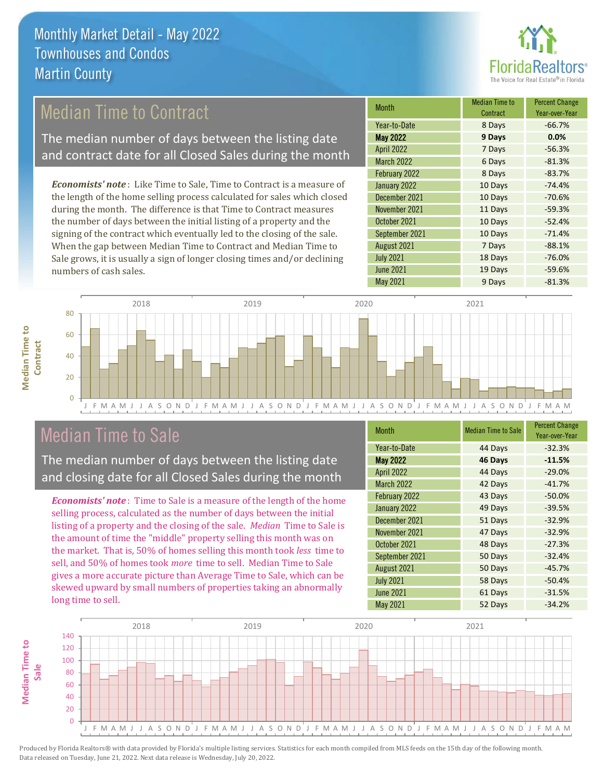

### Median Time to Contract

The median number of days between the listing date and contract date for all Closed Sales during the month

*Economists' note* : Like Time to Sale, Time to Contract is a measure of the length of the home selling process calculated for sales which closed during the month. The difference is that Time to Contract measures the number of days between the initial listing of a property and the signing of the contract which eventually led to the closing of the sale. When the gap between Median Time to Contract and Median Time to Sale grows, it is usually a sign of longer closing times and/or declining numbers of cash sales.

| <b>Month</b>      | <b>Median Time to</b><br>Contract | <b>Percent Change</b><br>Year-over-Year |
|-------------------|-----------------------------------|-----------------------------------------|
| Year-to-Date      | 8 Days                            | $-66.7%$                                |
| <b>May 2022</b>   | 9 Days                            | 0.0%                                    |
| <b>April 2022</b> | 7 Days                            | $-56.3%$                                |
| <b>March 2022</b> | 6 Days                            | $-81.3%$                                |
| February 2022     | 8 Days                            | $-83.7%$                                |
| January 2022      | 10 Days                           | $-74.4%$                                |
| December 2021     | 10 Days                           | $-70.6%$                                |
| November 2021     | 11 Days                           | $-59.3%$                                |
| October 2021      | 10 Days                           | $-52.4%$                                |
| September 2021    | 10 Days                           | $-71.4%$                                |
| August 2021       | 7 Days                            | $-88.1%$                                |
| <b>July 2021</b>  | 18 Days                           | $-76.0%$                                |
| <b>June 2021</b>  | 19 Days                           | $-59.6%$                                |
| <b>May 2021</b>   | 9 Days                            | $-81.3%$                                |



### Median Time to Sale

**Median Time to** 

**Median Time to** 

The median number of days between the listing date and closing date for all Closed Sales during the month

*Economists' note* : Time to Sale is a measure of the length of the home selling process, calculated as the number of days between the initial listing of a property and the closing of the sale. *Median* Time to Sale is the amount of time the "middle" property selling this month was on the market. That is, 50% of homes selling this month took *less* time to sell, and 50% of homes took *more* time to sell. Median Time to Sale gives a more accurate picture than Average Time to Sale, which can be skewed upward by small numbers of properties taking an abnormally long time to sell.

| Month             | <b>Median Time to Sale</b> | <b>Percent Change</b><br>Year-over-Year |
|-------------------|----------------------------|-----------------------------------------|
| Year-to-Date      | 44 Days                    | $-32.3%$                                |
| <b>May 2022</b>   | 46 Days                    | $-11.5%$                                |
| <b>April 2022</b> | 44 Days                    | $-29.0%$                                |
| <b>March 2022</b> | 42 Days                    | $-41.7%$                                |
| February 2022     | 43 Days                    | $-50.0%$                                |
| January 2022      | 49 Days                    | $-39.5%$                                |
| December 2021     | 51 Days                    | $-32.9%$                                |
| November 2021     | 47 Days                    | $-32.9%$                                |
| October 2021      | 48 Days                    | $-27.3%$                                |
| September 2021    | 50 Days                    | $-32.4%$                                |
| August 2021       | 50 Days                    | $-45.7%$                                |
| <b>July 2021</b>  | 58 Days                    | $-50.4%$                                |
| <b>June 2021</b>  | 61 Days                    | $-31.5%$                                |
| May 2021          | 52 Days                    | $-34.2%$                                |

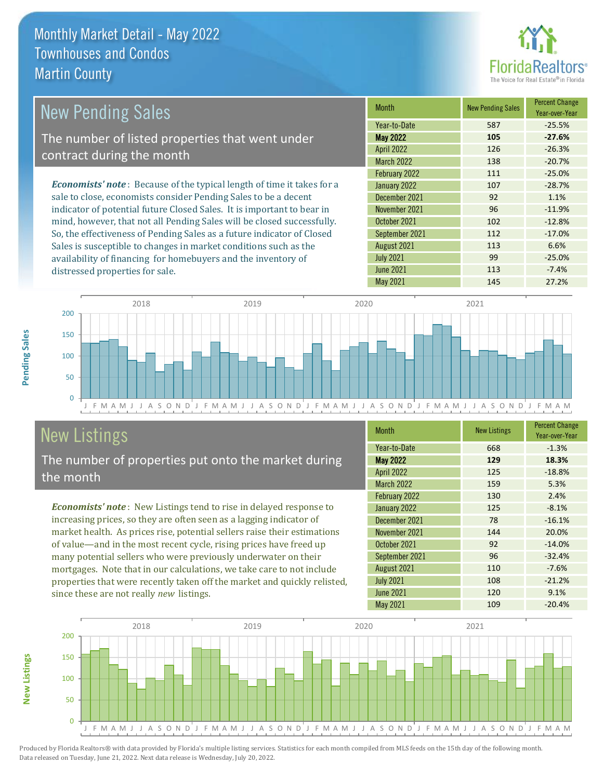distressed properties for sale.



| <b>New Pending Sales</b>                                                       | <b>Month</b>      | <b>New Pending Sales</b> | <b>Percent Change</b><br>Year-over-Year |
|--------------------------------------------------------------------------------|-------------------|--------------------------|-----------------------------------------|
|                                                                                | Year-to-Date      | 587                      | $-25.5%$                                |
| The number of listed properties that went under                                | <b>May 2022</b>   | 105                      | $-27.6%$                                |
| contract during the month                                                      | <b>April 2022</b> | 126                      | $-26.3%$                                |
|                                                                                | <b>March 2022</b> | 138                      | $-20.7%$                                |
|                                                                                | February 2022     | 111                      | $-25.0%$                                |
| <b>Economists' note</b> : Because of the typical length of time it takes for a | January 2022      | 107                      | $-28.7%$                                |
| sale to close, economists consider Pending Sales to be a decent                | December 2021     | 92                       | 1.1%                                    |
| indicator of potential future Closed Sales. It is important to bear in         | November 2021     | 96                       | $-11.9%$                                |
| mind, however, that not all Pending Sales will be closed successfully.         | October 2021      | 102                      | $-12.8%$                                |
| So, the effectiveness of Pending Sales as a future indicator of Closed         | September 2021    | 112                      | $-17.0%$                                |
| Sales is susceptible to changes in market conditions such as the               | August 2021       | 113                      | 6.6%                                    |



# New Listings

The number of properties put onto the market during the month

availability of financing for homebuyers and the inventory of

*Economists' note* : New Listings tend to rise in delayed response to increasing prices, so they are often seen as a lagging indicator of market health. As prices rise, potential sellers raise their estimations of value—and in the most recent cycle, rising prices have freed up many potential sellers who were previously underwater on their mortgages. Note that in our calculations, we take care to not include properties that were recently taken off the market and quickly relisted, since these are not really *new* listings.

| <b>Month</b>      | <b>New Listings</b> | <b>Percent Change</b><br>Year-over-Year |
|-------------------|---------------------|-----------------------------------------|
| Year-to-Date      | 668                 | $-1.3%$                                 |
| <b>May 2022</b>   | 129                 | 18.3%                                   |
| <b>April 2022</b> | 125                 | $-18.8%$                                |
| <b>March 2022</b> | 159                 | 5.3%                                    |
| February 2022     | 130                 | 2.4%                                    |
| January 2022      | 125                 | $-8.1%$                                 |
| December 2021     | 78                  | $-16.1%$                                |
| November 2021     | 144                 | 20.0%                                   |
| October 2021      | 92                  | $-14.0%$                                |
| September 2021    | 96                  | $-32.4%$                                |
| August 2021       | 110                 | $-7.6%$                                 |
| <b>July 2021</b>  | 108                 | $-21.2%$                                |
| <b>June 2021</b>  | 120                 | 9.1%                                    |
| May 2021          | 109                 | $-20.4%$                                |

July 2021 **99 -25.0%** June 2021 **113** -7.4%



Produced by Florida Realtors® with data provided by Florida's multiple listing services. Statistics for each month compiled from MLS feeds on the 15th day of the following month. Data released on Tuesday, June 21, 2022. Next data release is Wednesday, July 20, 2022.

**New Listings**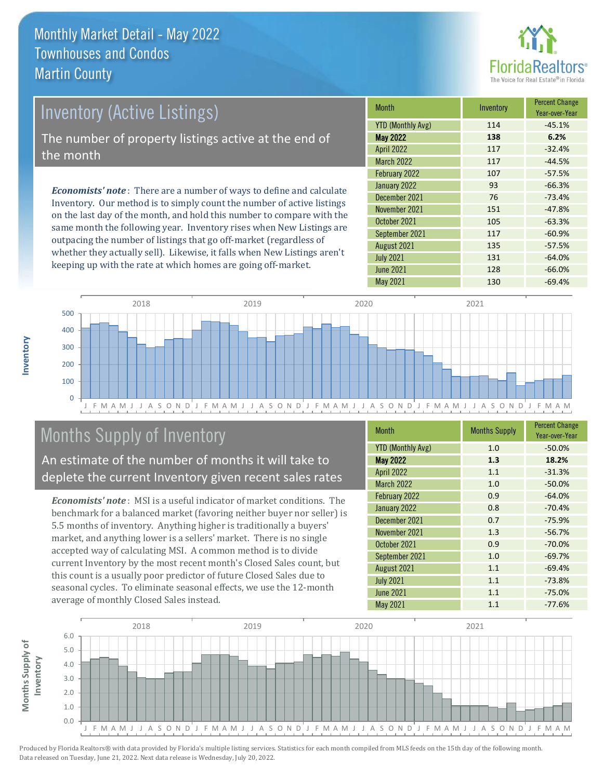

### Inventory (Active Listings) The number of property listings active at the end of the month

*Economists' note* : There are a number of ways to define and calculate Inventory. Our method is to simply count the number of active listings on the last day of the month, and hold this number to compare with the same month the following year. Inventory rises when New Listings are outpacing the number of listings that go off-market (regardless of whether they actually sell). Likewise, it falls when New Listings aren't keeping up with the rate at which homes are going off-market.

| <b>Month</b>             | Inventory | <b>Percent Change</b><br>Year-over-Year |
|--------------------------|-----------|-----------------------------------------|
| <b>YTD (Monthly Avg)</b> | 114       | $-45.1%$                                |
| <b>May 2022</b>          | 138       | 6.2%                                    |
| <b>April 2022</b>        | 117       | $-32.4%$                                |
| <b>March 2022</b>        | 117       | $-44.5%$                                |
| February 2022            | 107       | $-57.5%$                                |
| January 2022             | 93        | $-66.3%$                                |
| December 2021            | 76        | $-73.4%$                                |
| November 2021            | 151       | $-47.8%$                                |
| October 2021             | 105       | $-63.3%$                                |
| September 2021           | 117       | $-60.9%$                                |
| August 2021              | 135       | $-57.5%$                                |
| <b>July 2021</b>         | 131       | $-64.0%$                                |
| <b>June 2021</b>         | 128       | $-66.0%$                                |
| May 2021                 | 130       | $-69.4%$                                |



# Months Supply of Inventory

An estimate of the number of months it will take to deplete the current Inventory given recent sales rates

*Economists' note* : MSI is a useful indicator of market conditions. The benchmark for a balanced market (favoring neither buyer nor seller) is 5.5 months of inventory. Anything higher is traditionally a buyers' market, and anything lower is a sellers' market. There is no single accepted way of calculating MSI. A common method is to divide current Inventory by the most recent month's Closed Sales count, but this count is a usually poor predictor of future Closed Sales due to seasonal cycles. To eliminate seasonal effects, we use the 12-month average of monthly Closed Sales instead.

| <b>Month</b>             | <b>Months Supply</b> | <b>Percent Change</b><br>Year-over-Year |
|--------------------------|----------------------|-----------------------------------------|
| <b>YTD (Monthly Avg)</b> | 1.0                  | $-50.0%$                                |
| <b>May 2022</b>          | 1.3                  | 18.2%                                   |
| <b>April 2022</b>        | 1.1                  | $-31.3%$                                |
| March 2022               | 1.0                  | $-50.0%$                                |
| February 2022            | 0.9                  | $-64.0%$                                |
| January 2022             | 0.8                  | $-70.4%$                                |
| December 2021            | 0.7                  | $-75.9%$                                |
| November 2021            | 1.3                  | $-56.7%$                                |
| October 2021             | 0.9                  | $-70.0%$                                |
| September 2021           | 1.0                  | $-69.7%$                                |
| August 2021              | 1.1                  | $-69.4%$                                |
| <b>July 2021</b>         | 1.1                  | $-73.8%$                                |
| <b>June 2021</b>         | 1.1                  | $-75.0%$                                |
| May 2021                 | 1.1                  | $-77.6%$                                |

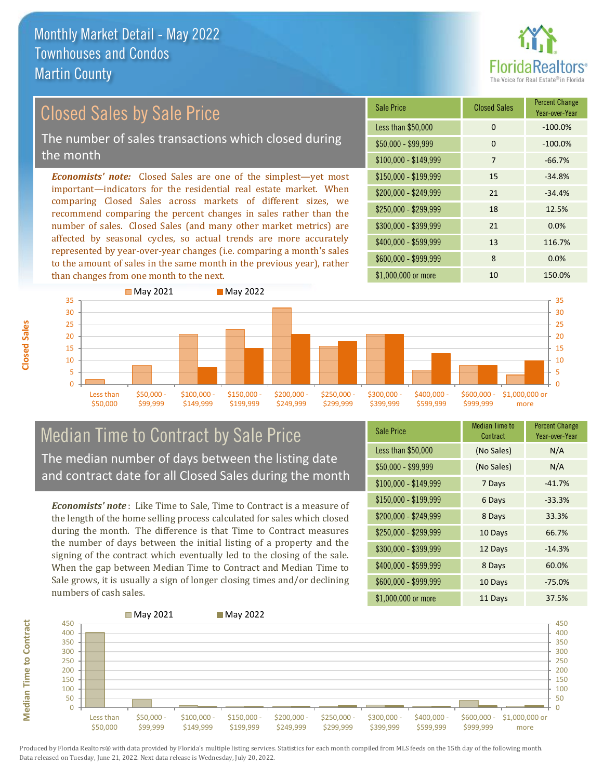

# Closed Sales by Sale Price

The number of sales transactions which closed during the month

*Economists' note:* Closed Sales are one of the simplest—yet most important—indicators for the residential real estate market. When comparing Closed Sales across markets of different sizes, we recommend comparing the percent changes in sales rather than the number of sales. Closed Sales (and many other market metrics) are affected by seasonal cycles, so actual trends are more accurately represented by year-over-year changes (i.e. comparing a month's sales to the amount of sales in the same month in the previous year), rather than changes from one month to the next.





### Median Time to Contract by Sale Price The median number of days between the listing date and contract date for all Closed Sales during the month

*Economists' note* : Like Time to Sale, Time to Contract is a measure of the length of the home selling process calculated for sales which closed during the month. The difference is that Time to Contract measures the number of days between the initial listing of a property and the signing of the contract which eventually led to the closing of the sale. When the gap between Median Time to Contract and Median Time to Sale grows, it is usually a sign of longer closing times and/or declining numbers of cash sales.

| <b>Sale Price</b>     | Median Time to<br>Contract | <b>Percent Change</b><br>Year-over-Year |
|-----------------------|----------------------------|-----------------------------------------|
| Less than \$50,000    | (No Sales)                 | N/A                                     |
| $$50,000 - $99,999$   | (No Sales)                 | N/A                                     |
| $$100,000 - $149,999$ | 7 Days                     | $-41.7%$                                |
| $$150,000 - $199,999$ | 6 Days                     | $-33.3%$                                |
| \$200,000 - \$249,999 | 8 Days                     | 33.3%                                   |
| \$250,000 - \$299,999 | 10 Days                    | 66.7%                                   |
| \$300,000 - \$399,999 | 12 Days                    | $-14.3%$                                |
| \$400,000 - \$599,999 | 8 Days                     | 60.0%                                   |
| \$600,000 - \$999,999 | 10 Days                    | $-75.0%$                                |
| \$1,000,000 or more   | 11 Days                    | 37.5%                                   |



Produced by Florida Realtors® with data provided by Florida's multiple listing services. Statistics for each month compiled from MLS feeds on the 15th day of the following month. Data released on Tuesday, June 21, 2022. Next data release is Wednesday, July 20, 2022.

**Median Time to Contract**

**Median Time to Contract**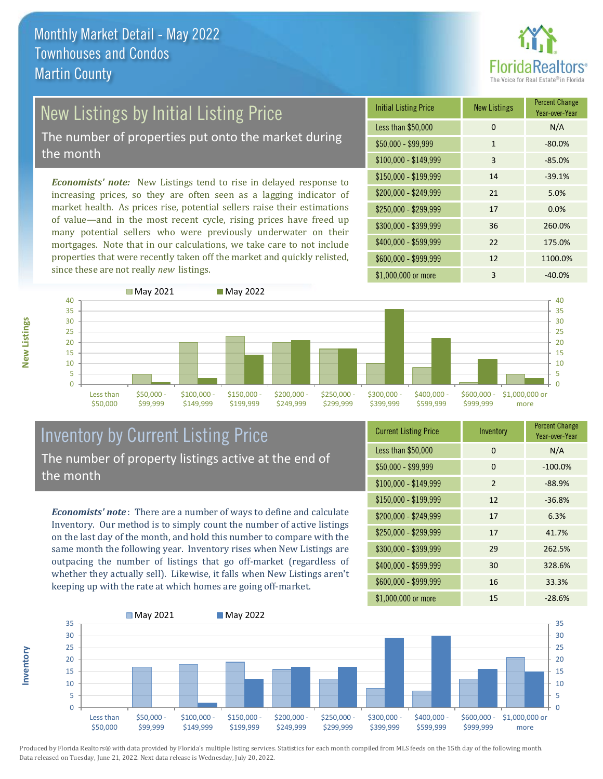

# **New Listings by Initial Listing Price**

The number of properties put onto the market during the month

*Economists' note:* New Listings tend to rise in delayed response to increasing prices, so they are often seen as a lagging indicator of market health. As prices rise, potential sellers raise their estimations of value—and in the most recent cycle, rising prices have freed up many potential sellers who were previously underwater on their mortgages. Note that in our calculations, we take care to not include properties that were recently taken off the market and quickly relisted, since these are not really *new* listings.

| <b>Initial Listing Price</b> | <b>New Listings</b> | <b>Percent Change</b><br>Year-over-Year |
|------------------------------|---------------------|-----------------------------------------|
| Less than \$50,000           | 0                   | N/A                                     |
| $$50,000 - $99,999$          | $\mathbf{1}$        | $-80.0%$                                |
| $$100,000 - $149,999$        | 3                   | $-85.0%$                                |
| \$150,000 - \$199,999        | 14                  | $-39.1%$                                |
| \$200,000 - \$249,999        | 21                  | 5.0%                                    |
| \$250,000 - \$299,999        | 17                  | 0.0%                                    |
| \$300,000 - \$399,999        | 36                  | 260.0%                                  |
| \$400,000 - \$599,999        | 22                  | 175.0%                                  |
| \$600,000 - \$999,999        | 12                  | 1100.0%                                 |
| \$1,000,000 or more          | 3                   | $-40.0%$                                |



#### Inventory by Current Listing Price The number of property listings active at the end of the month

*Economists' note* : There are a number of ways to define and calculate Inventory. Our method is to simply count the number of active listings on the last day of the month, and hold this number to compare with the same month the following year. Inventory rises when New Listings are outpacing the number of listings that go off-market (regardless of whether they actually sell). Likewise, it falls when New Listings aren't keeping up with the rate at which homes are going off-market.

| <b>Current Listing Price</b> | Inventory      | <b>Percent Change</b><br>Year-over-Year |
|------------------------------|----------------|-----------------------------------------|
| Less than \$50,000           | 0              | N/A                                     |
| $$50,000 - $99,999$          | 0              | $-100.0%$                               |
| $$100,000 - $149,999$        | $\overline{2}$ | $-88.9%$                                |
| $$150,000 - $199,999$        | 12             | $-36.8%$                                |
| \$200,000 - \$249,999        | 17             | 6.3%                                    |
| \$250,000 - \$299,999        | 17             | 41.7%                                   |
| \$300,000 - \$399,999        | 29             | 262.5%                                  |
| \$400,000 - \$599,999        | 30             | 328.6%                                  |
| \$600,000 - \$999,999        | 16             | 33.3%                                   |
| \$1,000,000 or more          | 15             | $-28.6%$                                |



Produced by Florida Realtors® with data provided by Florida's multiple listing services. Statistics for each month compiled from MLS feeds on the 15th day of the following month. Data released on Tuesday, June 21, 2022. Next data release is Wednesday, July 20, 2022.

**Inventory**